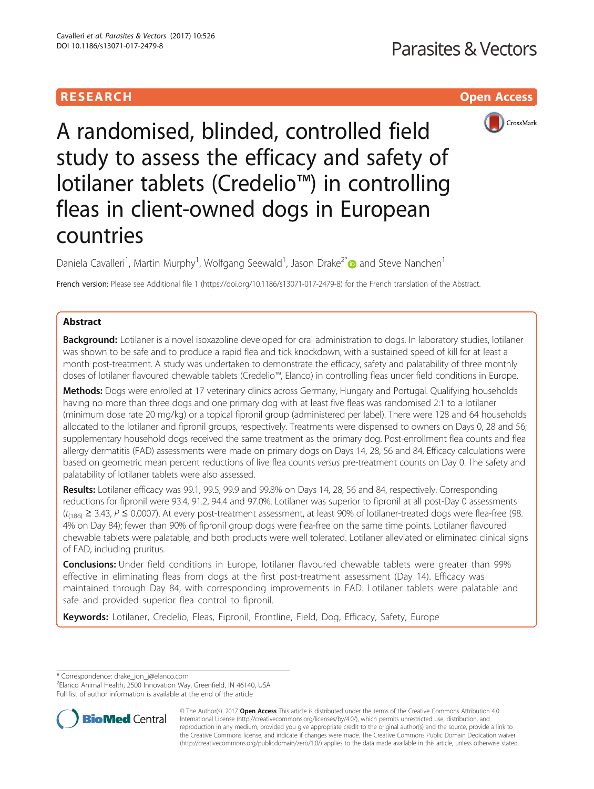# **RESEARCH CHILD CONTROL** CONTROL CONTROL CONTROL CONTROL CONTROL CONTROL CONTROL CONTROL CONTROL CONTROL CONTROL



A randomised, blinded, controlled field study to assess the efficacy and safety of lotilaner tablets (Credelio™) in controlling fleas in client-owned dogs in European countries

Daniela Cavalleri<sup>1</sup>, Martin Murphy<sup>1</sup>, Wolfgang Seewald<sup>1</sup>, Jason Drake<sup>2\*</sup> and Steve Nanchen<sup>1</sup>

French version: Please see Additional file [1](#page-7-0) (https://doi.org/10.1186/s13071-017-2479-8) for the French translation of the Abstract.

## Abstract

Background: Lotilaner is a novel isoxazoline developed for oral administration to dogs. In laboratory studies, lotilaner was shown to be safe and to produce a rapid flea and tick knockdown, with a sustained speed of kill for at least a month post-treatment. A study was undertaken to demonstrate the efficacy, safety and palatability of three monthly doses of lotilaner flavoured chewable tablets (Credelio™, Elanco) in controlling fleas under field conditions in Europe.

Methods: Dogs were enrolled at 17 veterinary clinics across Germany, Hungary and Portugal. Qualifying households having no more than three dogs and one primary dog with at least five fleas was randomised 2:1 to a lotilaner (minimum dose rate 20 mg/kg) or a topical fipronil group (administered per label). There were 128 and 64 households allocated to the lotilaner and fipronil groups, respectively. Treatments were dispensed to owners on Days 0, 28 and 56; supplementary household dogs received the same treatment as the primary dog. Post-enrollment flea counts and flea allergy dermatitis (FAD) assessments were made on primary dogs on Days 14, 28, 56 and 84. Efficacy calculations were based on geometric mean percent reductions of live flea counts versus pre-treatment counts on Day 0. The safety and palatability of lotilaner tablets were also assessed.

Results: Lotilaner efficacy was 99.1, 99.5, 99.9 and 99.8% on Days 14, 28, 56 and 84, respectively. Corresponding reductions for fipronil were 93.4, 91.2, 94.4 and 97.0%. Lotilaner was superior to fipronil at all post-Day 0 assessments  $(t_{(186)} \geq 3.43, P \leq 0.0007)$ . At every post-treatment assessment, at least 90% of lotilaner-treated dogs were flea-free (98. 4% on Day 84); fewer than 90% of fipronil group dogs were flea-free on the same time points. Lotilaner flavoured chewable tablets were palatable, and both products were well tolerated. Lotilaner alleviated or eliminated clinical signs of FAD, including pruritus.

**Conclusions:** Under field conditions in Europe, lotilaner flavoured chewable tablets were greater than 99% effective in eliminating fleas from dogs at the first post-treatment assessment (Day 14). Efficacy was maintained through Day 84, with corresponding improvements in FAD. Lotilaner tablets were palatable and safe and provided superior flea control to fipronil.

Keywords: Lotilaner, Credelio, Fleas, Fipronil, Frontline, Field, Dog, Efficacy, Safety, Europe

\* Correspondence: [drake\\_jon\\_j@elanco.com](mailto:drake_jon_j@elanco.com) <sup>2</sup>

<sup>2</sup> Elanco Animal Health, 2500 Innovation Way, Greenfield, IN 46140, USA Full list of author information is available at the end of the article



© The Author(s). 2017 **Open Access** This article is distributed under the terms of the Creative Commons Attribution 4.0 International License [\(http://creativecommons.org/licenses/by/4.0/](http://creativecommons.org/licenses/by/4.0/)), which permits unrestricted use, distribution, and reproduction in any medium, provided you give appropriate credit to the original author(s) and the source, provide a link to the Creative Commons license, and indicate if changes were made. The Creative Commons Public Domain Dedication waiver [\(http://creativecommons.org/publicdomain/zero/1.0/](http://creativecommons.org/publicdomain/zero/1.0/)) applies to the data made available in this article, unless otherwise stated.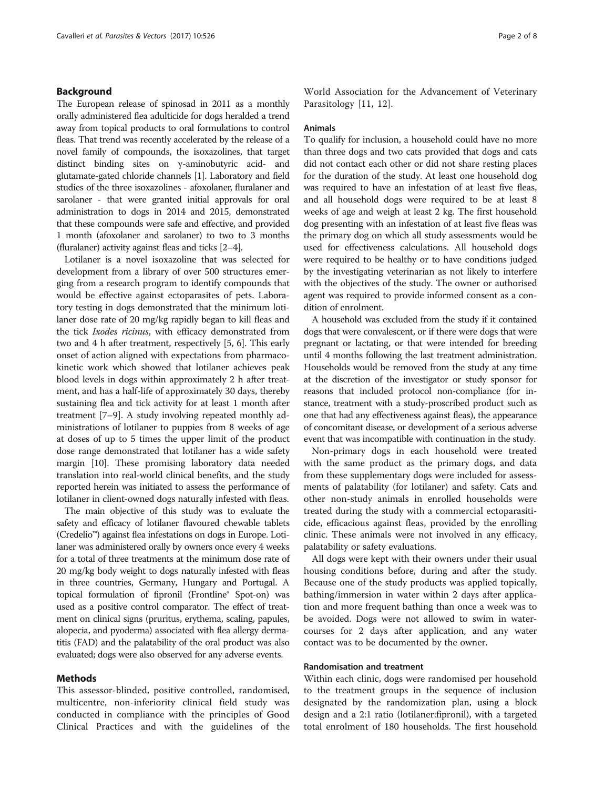## Background

The European release of spinosad in 2011 as a monthly orally administered flea adulticide for dogs heralded a trend away from topical products to oral formulations to control fleas. That trend was recently accelerated by the release of a novel family of compounds, the isoxazolines, that target distinct binding sites on γ-aminobutyric acid- and glutamate-gated chloride channels [[1](#page-7-0)]. Laboratory and field studies of the three isoxazolines - afoxolaner, fluralaner and sarolaner - that were granted initial approvals for oral administration to dogs in 2014 and 2015, demonstrated that these compounds were safe and effective, and provided 1 month (afoxolaner and sarolaner) to two to 3 months (fluralaner) activity against fleas and ticks [\[2](#page-7-0)–[4](#page-7-0)].

Lotilaner is a novel isoxazoline that was selected for development from a library of over 500 structures emerging from a research program to identify compounds that would be effective against ectoparasites of pets. Laboratory testing in dogs demonstrated that the minimum lotilaner dose rate of 20 mg/kg rapidly began to kill fleas and the tick Ixodes ricinus, with efficacy demonstrated from two and 4 h after treatment, respectively [\[5](#page-7-0), [6](#page-7-0)]. This early onset of action aligned with expectations from pharmacokinetic work which showed that lotilaner achieves peak blood levels in dogs within approximately 2 h after treatment, and has a half-life of approximately 30 days, thereby sustaining flea and tick activity for at least 1 month after treatment [[7](#page-7-0)–[9](#page-7-0)]. A study involving repeated monthly administrations of lotilaner to puppies from 8 weeks of age at doses of up to 5 times the upper limit of the product dose range demonstrated that lotilaner has a wide safety margin [\[10](#page-7-0)]. These promising laboratory data needed translation into real-world clinical benefits, and the study reported herein was initiated to assess the performance of lotilaner in client-owned dogs naturally infested with fleas.

The main objective of this study was to evaluate the safety and efficacy of lotilaner flavoured chewable tablets (Credelio™) against flea infestations on dogs in Europe. Lotilaner was administered orally by owners once every 4 weeks for a total of three treatments at the minimum dose rate of 20 mg/kg body weight to dogs naturally infested with fleas in three countries, Germany, Hungary and Portugal. A topical formulation of fipronil (Frontline® Spot-on) was used as a positive control comparator. The effect of treatment on clinical signs (pruritus, erythema, scaling, papules, alopecia, and pyoderma) associated with flea allergy dermatitis (FAD) and the palatability of the oral product was also evaluated; dogs were also observed for any adverse events.

## Methods

This assessor-blinded, positive controlled, randomised, multicentre, non-inferiority clinical field study was conducted in compliance with the principles of Good Clinical Practices and with the guidelines of the

World Association for the Advancement of Veterinary Parasitology [\[11](#page-7-0), [12\]](#page-7-0).

#### Animals

To qualify for inclusion, a household could have no more than three dogs and two cats provided that dogs and cats did not contact each other or did not share resting places for the duration of the study. At least one household dog was required to have an infestation of at least five fleas, and all household dogs were required to be at least 8 weeks of age and weigh at least 2 kg. The first household dog presenting with an infestation of at least five fleas was the primary dog on which all study assessments would be used for effectiveness calculations. All household dogs were required to be healthy or to have conditions judged by the investigating veterinarian as not likely to interfere with the objectives of the study. The owner or authorised agent was required to provide informed consent as a condition of enrolment.

A household was excluded from the study if it contained dogs that were convalescent, or if there were dogs that were pregnant or lactating, or that were intended for breeding until 4 months following the last treatment administration. Households would be removed from the study at any time at the discretion of the investigator or study sponsor for reasons that included protocol non-compliance (for instance, treatment with a study-proscribed product such as one that had any effectiveness against fleas), the appearance of concomitant disease, or development of a serious adverse event that was incompatible with continuation in the study.

Non-primary dogs in each household were treated with the same product as the primary dogs, and data from these supplementary dogs were included for assessments of palatability (for lotilaner) and safety. Cats and other non-study animals in enrolled households were treated during the study with a commercial ectoparasiticide, efficacious against fleas, provided by the enrolling clinic. These animals were not involved in any efficacy, palatability or safety evaluations.

All dogs were kept with their owners under their usual housing conditions before, during and after the study. Because one of the study products was applied topically, bathing/immersion in water within 2 days after application and more frequent bathing than once a week was to be avoided. Dogs were not allowed to swim in watercourses for 2 days after application, and any water contact was to be documented by the owner.

#### Randomisation and treatment

Within each clinic, dogs were randomised per household to the treatment groups in the sequence of inclusion designated by the randomization plan, using a block design and a 2:1 ratio (lotilaner:fipronil), with a targeted total enrolment of 180 households. The first household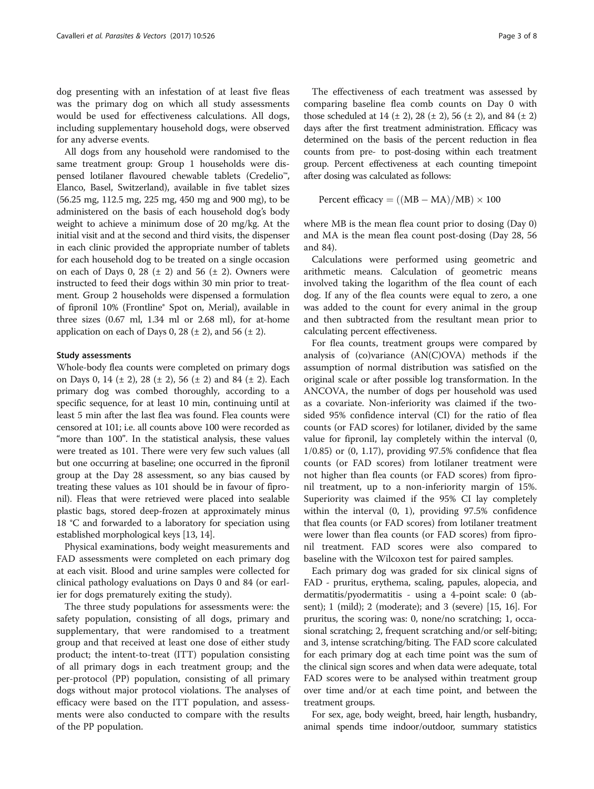dog presenting with an infestation of at least five fleas was the primary dog on which all study assessments would be used for effectiveness calculations. All dogs, including supplementary household dogs, were observed for any adverse events.

All dogs from any household were randomised to the same treatment group: Group 1 households were dispensed lotilaner flavoured chewable tablets (Credelio™, Elanco, Basel, Switzerland), available in five tablet sizes (56.25 mg, 112.5 mg, 225 mg, 450 mg and 900 mg), to be administered on the basis of each household dog's body weight to achieve a minimum dose of 20 mg/kg. At the initial visit and at the second and third visits, the dispenser in each clinic provided the appropriate number of tablets for each household dog to be treated on a single occasion on each of Days 0, 28  $(\pm 2)$  and 56  $(\pm 2)$ . Owners were instructed to feed their dogs within 30 min prior to treatment. Group 2 households were dispensed a formulation of fipronil 10% (Frontline® Spot on, Merial), available in three sizes (0.67 ml, 1.34 ml or 2.68 ml), for at-home application on each of Days 0, 28  $(\pm 2)$ , and 56  $(\pm 2)$ .

### Study assessments

Whole-body flea counts were completed on primary dogs on Days 0, 14 (± 2), 28 (± 2), 56 (± 2) and 84 (± 2). Each primary dog was combed thoroughly, according to a specific sequence, for at least 10 min, continuing until at least 5 min after the last flea was found. Flea counts were censored at 101; i.e. all counts above 100 were recorded as "more than 100". In the statistical analysis, these values were treated as 101. There were very few such values (all but one occurring at baseline; one occurred in the fipronil group at the Day 28 assessment, so any bias caused by treating these values as 101 should be in favour of fipronil). Fleas that were retrieved were placed into sealable plastic bags, stored deep-frozen at approximately minus 18 °C and forwarded to a laboratory for speciation using established morphological keys [\[13, 14](#page-7-0)].

Physical examinations, body weight measurements and FAD assessments were completed on each primary dog at each visit. Blood and urine samples were collected for clinical pathology evaluations on Days 0 and 84 (or earlier for dogs prematurely exiting the study).

The three study populations for assessments were: the safety population, consisting of all dogs, primary and supplementary, that were randomised to a treatment group and that received at least one dose of either study product; the intent-to-treat (ITT) population consisting of all primary dogs in each treatment group; and the per-protocol (PP) population, consisting of all primary dogs without major protocol violations. The analyses of efficacy were based on the ITT population, and assessments were also conducted to compare with the results of the PP population.

The effectiveness of each treatment was assessed by comparing baseline flea comb counts on Day 0 with those scheduled at 14 ( $\pm$  2), 28 ( $\pm$  2), 56 ( $\pm$  2), and 84 ( $\pm$  2) days after the first treatment administration. Efficacy was determined on the basis of the percent reduction in flea counts from pre- to post-dosing within each treatment group. Percent effectiveness at each counting timepoint after dosing was calculated as follows:

$$
Percent efficacy = ((MB - MA)/MB) \times 100
$$

where MB is the mean flea count prior to dosing (Day 0) and MA is the mean flea count post-dosing (Day 28, 56 and 84).

Calculations were performed using geometric and arithmetic means. Calculation of geometric means involved taking the logarithm of the flea count of each dog. If any of the flea counts were equal to zero, a one was added to the count for every animal in the group and then subtracted from the resultant mean prior to calculating percent effectiveness.

For flea counts, treatment groups were compared by analysis of (co)variance (AN(C)OVA) methods if the assumption of normal distribution was satisfied on the original scale or after possible log transformation. In the ANCOVA, the number of dogs per household was used as a covariate. Non-inferiority was claimed if the twosided 95% confidence interval (CI) for the ratio of flea counts (or FAD scores) for lotilaner, divided by the same value for fipronil, lay completely within the interval (0, 1/0.85) or (0, 1.17), providing 97.5% confidence that flea counts (or FAD scores) from lotilaner treatment were not higher than flea counts (or FAD scores) from fipronil treatment, up to a non-inferiority margin of 15%. Superiority was claimed if the 95% CI lay completely within the interval (0, 1), providing 97.5% confidence that flea counts (or FAD scores) from lotilaner treatment were lower than flea counts (or FAD scores) from fipronil treatment. FAD scores were also compared to baseline with the Wilcoxon test for paired samples.

Each primary dog was graded for six clinical signs of FAD - pruritus, erythema, scaling, papules, alopecia, and dermatitis/pyodermatitis - using a 4-point scale: 0 (absent); 1 (mild); 2 (moderate); and 3 (severe) [\[15, 16](#page-7-0)]. For pruritus, the scoring was: 0, none/no scratching; 1, occasional scratching; 2, frequent scratching and/or self-biting; and 3, intense scratching/biting. The FAD score calculated for each primary dog at each time point was the sum of the clinical sign scores and when data were adequate, total FAD scores were to be analysed within treatment group over time and/or at each time point, and between the treatment groups.

For sex, age, body weight, breed, hair length, husbandry, animal spends time indoor/outdoor, summary statistics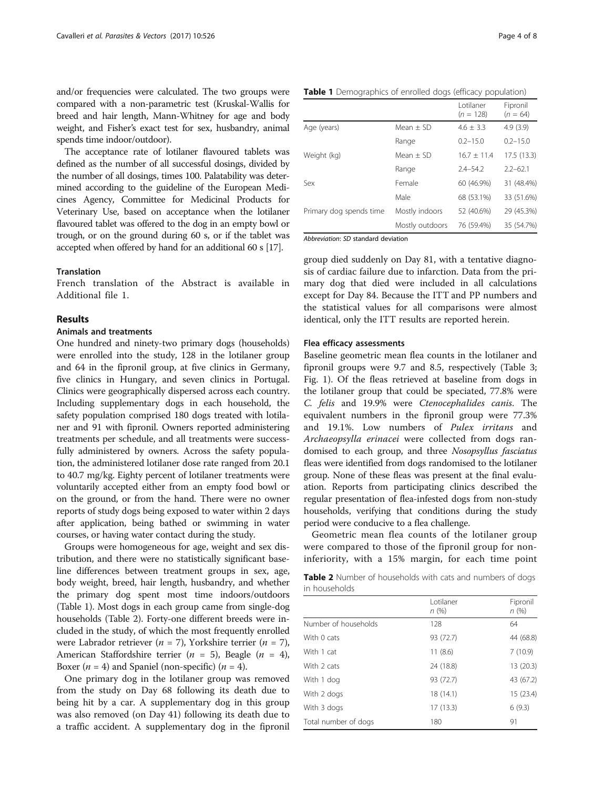and/or frequencies were calculated. The two groups were compared with a non-parametric test (Kruskal-Wallis for breed and hair length, Mann-Whitney for age and body weight, and Fisher's exact test for sex, husbandry, animal spends time indoor/outdoor).

The acceptance rate of lotilaner flavoured tablets was defined as the number of all successful dosings, divided by the number of all dosings, times 100. Palatability was determined according to the guideline of the European Medicines Agency, Committee for Medicinal Products for Veterinary Use, based on acceptance when the lotilaner flavoured tablet was offered to the dog in an empty bowl or trough, or on the ground during 60 s, or if the tablet was accepted when offered by hand for an additional 60 s [[17](#page-7-0)].

### Translation

French translation of the Abstract is available in Additional file [1](#page-6-0).

### Results

## Animals and treatments

One hundred and ninety-two primary dogs (households) were enrolled into the study, 128 in the lotilaner group and 64 in the fipronil group, at five clinics in Germany, five clinics in Hungary, and seven clinics in Portugal. Clinics were geographically dispersed across each country. Including supplementary dogs in each household, the safety population comprised 180 dogs treated with lotilaner and 91 with fipronil. Owners reported administering treatments per schedule, and all treatments were successfully administered by owners. Across the safety population, the administered lotilaner dose rate ranged from 20.1 to 40.7 mg/kg. Eighty percent of lotilaner treatments were voluntarily accepted either from an empty food bowl or on the ground, or from the hand. There were no owner reports of study dogs being exposed to water within 2 days after application, being bathed or swimming in water courses, or having water contact during the study.

Groups were homogeneous for age, weight and sex distribution, and there were no statistically significant baseline differences between treatment groups in sex, age, body weight, breed, hair length, husbandry, and whether the primary dog spent most time indoors/outdoors (Table 1). Most dogs in each group came from single-dog households (Table 2). Forty-one different breeds were included in the study, of which the most frequently enrolled were Labrador retriever ( $n = 7$ ), Yorkshire terrier ( $n = 7$ ), American Staffordshire terrier ( $n = 5$ ), Beagle ( $n = 4$ ), Boxer ( $n = 4$ ) and Spaniel (non-specific) ( $n = 4$ ).

One primary dog in the lotilaner group was removed from the study on Day 68 following its death due to being hit by a car. A supplementary dog in this group was also removed (on Day 41) following its death due to a traffic accident. A supplementary dog in the fipronil

|                         |                 | Lotilaner<br>$(n = 128)$ | Fipronil<br>$(n = 64)$ |
|-------------------------|-----------------|--------------------------|------------------------|
| Age (years)             | Mean $\pm$ SD   | $4.6 \pm 3.3$            | 4.9(3.9)               |
|                         | Range           | $0.2 - 15.0$             | $0.2 - 15.0$           |
| Weight (kg)             | Mean $\pm$ SD   | $16.7 \pm 11.4$          | 17.5 (13.3)            |
|                         | Range           | $2.4 - 54.2$             | $2.2 - 62.1$           |
| Sex                     | Female          | 60 (46.9%)               | 31 (48.4%)             |
|                         | Male            | 68 (53.1%)               | 33 (51.6%)             |
| Primary dog spends time | Mostly indoors  | 52 (40.6%)               | 29 (45.3%)             |
|                         | Mostly outdoors | 76 (59.4%)               | 35 (54.7%)             |

Abbreviation: SD standard deviation

group died suddenly on Day 81, with a tentative diagnosis of cardiac failure due to infarction. Data from the primary dog that died were included in all calculations except for Day 84. Because the ITT and PP numbers and the statistical values for all comparisons were almost identical, only the ITT results are reported herein.

#### Flea efficacy assessments

Baseline geometric mean flea counts in the lotilaner and fipronil groups were 9.7 and 8.5, respectively (Table [3](#page-4-0); Fig. [1\)](#page-4-0). Of the fleas retrieved at baseline from dogs in the lotilaner group that could be speciated, 77.8% were C. felis and 19.9% were Ctenocephalides canis. The equivalent numbers in the fipronil group were 77.3% and 19.1%. Low numbers of Pulex irritans and Archaeopsylla erinacei were collected from dogs randomised to each group, and three Nosopsyllus fasciatus fleas were identified from dogs randomised to the lotilaner group. None of these fleas was present at the final evaluation. Reports from participating clinics described the regular presentation of flea-infested dogs from non-study households, verifying that conditions during the study period were conducive to a flea challenge.

Geometric mean flea counts of the lotilaner group were compared to those of the fipronil group for noninferiority, with a 15% margin, for each time point

Table 2 Number of households with cats and numbers of dogs in households

|                      | I otilaner<br>n(%) | Fipronil<br>n(%) |
|----------------------|--------------------|------------------|
| Number of households | 128                | 64               |
| With 0 cats          | 93 (72.7)          | 44 (68.8)        |
| With 1 cat           | 11(8.6)            | 7(10.9)          |
| With 2 cats          | 24 (18.8)          | 13(20.3)         |
| With 1 dog           | 93 (72.7)          | 43 (67.2)        |
| With 2 dogs          | 18 (14.1)          | 15(23.4)         |
| With 3 dogs          | 17 (13.3)          | 6(9.3)           |
| Total number of dogs | 180                | 91               |

|  | Table 1 Demographics of enrolled dogs (efficacy population) |  |  |  |
|--|-------------------------------------------------------------|--|--|--|
|  |                                                             |  |  |  |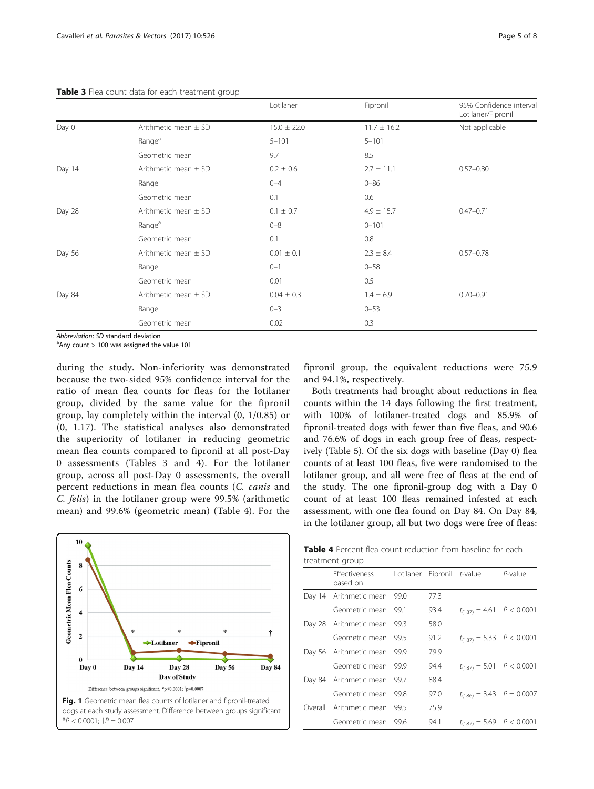<span id="page-4-0"></span>

|        |                          | Lotilaner       | Fipronil        | 95% Confidence interva<br>Lotilaner/Fipronil |
|--------|--------------------------|-----------------|-----------------|----------------------------------------------|
| Day 0  | Arithmetic mean $\pm$ SD | $15.0 \pm 22.0$ | $11.7 \pm 16.2$ | Not applicable                               |
|        | Range <sup>a</sup>       | $5 - 101$       | $5 - 101$       |                                              |
|        | Geometric mean           | 9.7             | 8.5             |                                              |
| Day 14 | Arithmetic mean $\pm$ SD | $0.2 \pm 0.6$   | $2.7 \pm 11.1$  | $0.57 - 0.80$                                |
|        | Range                    | $0 - 4$         | $0 - 86$        |                                              |
|        | Geometric mean           | 0.1             | 0.6             |                                              |
| Day 28 | Arithmetic mean $\pm$ SD | $0.1 \pm 0.7$   | $4.9 \pm 15.7$  | $0.47 - 0.71$                                |
|        | Range <sup>a</sup>       | $0 - 8$         | $0 - 101$       |                                              |
|        | Geometric mean           | 0.1             | 0.8             |                                              |
| Day 56 | Arithmetic mean $\pm$ SD | $0.01 \pm 0.1$  | $2.3 \pm 8.4$   | $0.57 - 0.78$                                |
|        | Range                    | $0 - 1$         | $0 - 58$        |                                              |
|        | Geometric mean           | 0.01            | 0.5             |                                              |
| Day 84 | Arithmetic mean $\pm$ SD | $0.04 \pm 0.3$  | $1.4 \pm 6.9$   | $0.70 - 0.91$                                |
|        | Range                    | $0 - 3$         | $0 - 53$        |                                              |
|        | Geometric mean           | 0.02            | 0.3             |                                              |

Abbreviation: SD standard deviation

 $a^2$ Any count > 100 was assigned the value 101

during the study. Non-inferiority was demonstrated because the two-sided 95% confidence interval for the ratio of mean flea counts for fleas for the lotilaner group, divided by the same value for the fipronil group, lay completely within the interval (0, 1/0.85) or (0, 1.17). The statistical analyses also demonstrated the superiority of lotilaner in reducing geometric mean flea counts compared to fipronil at all post-Day 0 assessments (Tables 3 and 4). For the lotilaner group, across all post-Day 0 assessments, the overall percent reductions in mean flea counts (C. canis and C. felis) in the lotilaner group were 99.5% (arithmetic mean) and 99.6% (geometric mean) (Table 4). For the



dogs at each study assessment. Difference between groups significant:  $*P < 0.0001$ ;  $\uparrow P = 0.007$ 

fipronil group, the equivalent reductions were 75.9 and 94.1%, respectively.

Both treatments had brought about reductions in flea counts within the 14 days following the first treatment, with 100% of lotilaner-treated dogs and 85.9% of fipronil-treated dogs with fewer than five fleas, and 90.6 and 76.6% of dogs in each group free of fleas, respectively (Table [5\)](#page-5-0). Of the six dogs with baseline (Day 0) flea counts of at least 100 fleas, five were randomised to the lotilaner group, and all were free of fleas at the end of the study. The one fipronil-group dog with a Day 0 count of at least 100 fleas remained infested at each assessment, with one flea found on Day 84. On Day 84, in the lotilaner group, all but two dogs were free of fleas:

| <b>Table 4</b> Percent flea count reduction from baseline for each |  |  |  |
|--------------------------------------------------------------------|--|--|--|
| treatment group                                                    |  |  |  |

| a caan is in group |                           |                            |      |                                 |            |  |
|--------------------|---------------------------|----------------------------|------|---------------------------------|------------|--|
|                    | Effectiveness<br>based on | Lotilaner Fipronil t-value |      |                                 | $P$ -value |  |
|                    | Day 14 Arithmetic mean    | 99.0                       | 77.3 |                                 |            |  |
|                    | Geometric mean            | 99.1                       | 93.4 | $t_{(187)} = 4.61$ $P < 0.0001$ |            |  |
|                    | Day 28 Arithmetic mean    | 99.3                       | 58.0 |                                 |            |  |
|                    | Geometric mean            | 99.5                       | 91.2 | $t_{(187)} = 5.33$ $P < 0.0001$ |            |  |
|                    | Day 56 Arithmetic mean    | 99.9                       | 79.9 |                                 |            |  |
|                    | Geometric mean            | 99.9                       | 94.4 | $t_{(187)} = 5.01$ $P < 0.0001$ |            |  |
| Day 84             | Arithmetic mean           | 99.7                       | 88.4 |                                 |            |  |
|                    | Geometric mean            | 99.8                       | 97.0 | $t_{(186)} = 3.43$ $P = 0.0007$ |            |  |
| Overall            | Arithmetic mean           | 99.5                       | 75.9 |                                 |            |  |
|                    | Geometric mean            | 99.6                       | 94.1 | $t_{(187)} = 5.69$ $P < 0.0001$ |            |  |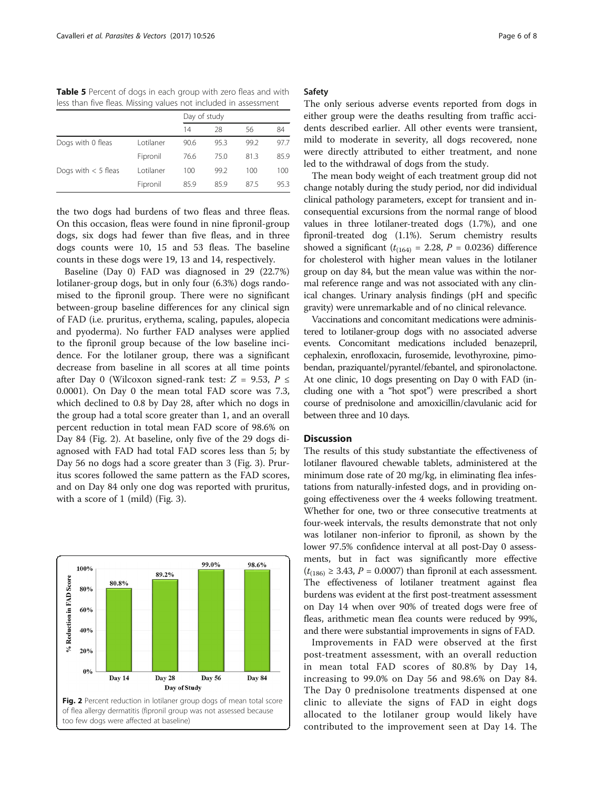<span id="page-5-0"></span>Table 5 Percent of dogs in each group with zero fleas and with less than five fleas. Missing values not included in assessment

|                       |           | Day of study |      |      |      |
|-----------------------|-----------|--------------|------|------|------|
|                       |           | 14           | 28   | 56   | 84   |
| Dogs with 0 fleas     | Lotilaner | 90.6         | 95.3 | 99.2 | 97.7 |
|                       | Fipronil  | 76.6         | 75.0 | 81.3 | 85.9 |
| Dogs with $<$ 5 fleas | Lotilaner | 100          | 99.2 | 100  | 100  |
|                       | Fipronil  | 85.9         | 85.9 | 87.5 | 95.3 |

the two dogs had burdens of two fleas and three fleas. On this occasion, fleas were found in nine fipronil-group dogs, six dogs had fewer than five fleas, and in three dogs counts were 10, 15 and 53 fleas. The baseline counts in these dogs were 19, 13 and 14, respectively.

Baseline (Day 0) FAD was diagnosed in 29 (22.7%) lotilaner-group dogs, but in only four (6.3%) dogs randomised to the fipronil group. There were no significant between-group baseline differences for any clinical sign of FAD (i.e. pruritus, erythema, scaling, papules, alopecia and pyoderma). No further FAD analyses were applied to the fipronil group because of the low baseline incidence. For the lotilaner group, there was a significant decrease from baseline in all scores at all time points after Day 0 (Wilcoxon signed-rank test:  $Z = 9.53$ ,  $P \leq$ 0.0001). On Day 0 the mean total FAD score was 7.3, which declined to 0.8 by Day 28, after which no dogs in the group had a total score greater than 1, and an overall percent reduction in total mean FAD score of 98.6% on Day 84 (Fig. 2). At baseline, only five of the 29 dogs diagnosed with FAD had total FAD scores less than 5; by Day 56 no dogs had a score greater than 3 (Fig. [3\)](#page-6-0). Pruritus scores followed the same pattern as the FAD scores, and on Day 84 only one dog was reported with pruritus, with a score of 1 (mild) (Fig. [3](#page-6-0)).



#### Safety

The only serious adverse events reported from dogs in either group were the deaths resulting from traffic accidents described earlier. All other events were transient, mild to moderate in severity, all dogs recovered, none were directly attributed to either treatment, and none led to the withdrawal of dogs from the study.

The mean body weight of each treatment group did not change notably during the study period, nor did individual clinical pathology parameters, except for transient and inconsequential excursions from the normal range of blood values in three lotilaner-treated dogs (1.7%), and one fipronil-treated dog (1.1%). Serum chemistry results showed a significant  $(t<sub>(164)</sub> = 2.28, P = 0.0236)$  difference for cholesterol with higher mean values in the lotilaner group on day 84, but the mean value was within the normal reference range and was not associated with any clinical changes. Urinary analysis findings (pH and specific gravity) were unremarkable and of no clinical relevance.

Vaccinations and concomitant medications were administered to lotilaner-group dogs with no associated adverse events. Concomitant medications included benazepril, cephalexin, enrofloxacin, furosemide, levothyroxine, pimobendan, praziquantel/pyrantel/febantel, and spironolactone. At one clinic, 10 dogs presenting on Day 0 with FAD (including one with a "hot spot") were prescribed a short course of prednisolone and amoxicillin/clavulanic acid for between three and 10 days.

#### **Discussion**

The results of this study substantiate the effectiveness of lotilaner flavoured chewable tablets, administered at the minimum dose rate of 20 mg/kg, in eliminating flea infestations from naturally-infested dogs, and in providing ongoing effectiveness over the 4 weeks following treatment. Whether for one, two or three consecutive treatments at four-week intervals, the results demonstrate that not only was lotilaner non-inferior to fipronil, as shown by the lower 97.5% confidence interval at all post-Day 0 assessments, but in fact was significantly more effective  $(t<sub>(186)</sub> \ge 3.43, P = 0.0007)$  than fipronil at each assessment. The effectiveness of lotilaner treatment against flea burdens was evident at the first post-treatment assessment on Day 14 when over 90% of treated dogs were free of fleas, arithmetic mean flea counts were reduced by 99%, and there were substantial improvements in signs of FAD.

Improvements in FAD were observed at the first post-treatment assessment, with an overall reduction in mean total FAD scores of 80.8% by Day 14, increasing to 99.0% on Day 56 and 98.6% on Day 84. The Day 0 prednisolone treatments dispensed at one clinic to alleviate the signs of FAD in eight dogs allocated to the lotilaner group would likely have contributed to the improvement seen at Day 14. The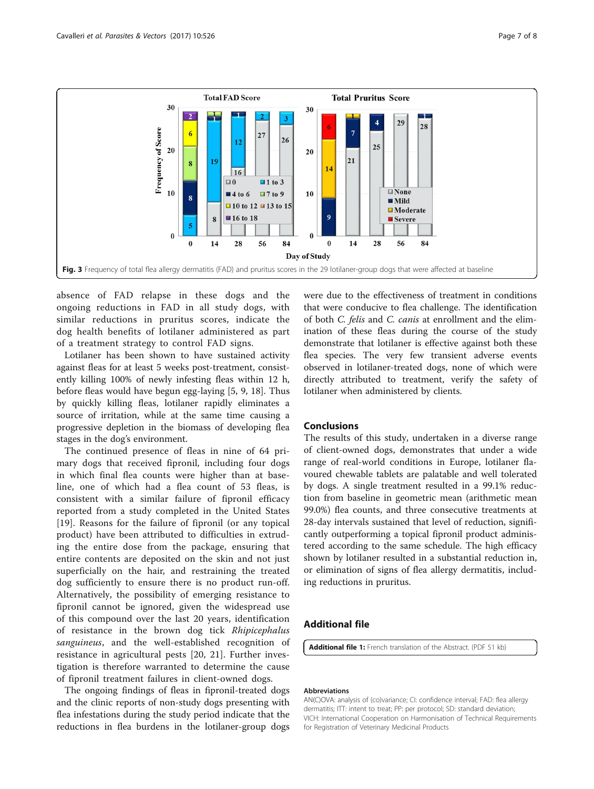<span id="page-6-0"></span>

absence of FAD relapse in these dogs and the ongoing reductions in FAD in all study dogs, with similar reductions in pruritus scores, indicate the dog health benefits of lotilaner administered as part of a treatment strategy to control FAD signs.

Lotilaner has been shown to have sustained activity against fleas for at least 5 weeks post-treatment, consistently killing 100% of newly infesting fleas within 12 h, before fleas would have begun egg-laying [\[5](#page-7-0), [9](#page-7-0), [18](#page-7-0)]. Thus by quickly killing fleas, lotilaner rapidly eliminates a source of irritation, while at the same time causing a progressive depletion in the biomass of developing flea stages in the dog's environment.

The continued presence of fleas in nine of 64 primary dogs that received fipronil, including four dogs in which final flea counts were higher than at baseline, one of which had a flea count of 53 fleas, is consistent with a similar failure of fipronil efficacy reported from a study completed in the United States [[19\]](#page-7-0). Reasons for the failure of fipronil (or any topical product) have been attributed to difficulties in extruding the entire dose from the package, ensuring that entire contents are deposited on the skin and not just superficially on the hair, and restraining the treated dog sufficiently to ensure there is no product run-off. Alternatively, the possibility of emerging resistance to fipronil cannot be ignored, given the widespread use of this compound over the last 20 years, identification of resistance in the brown dog tick Rhipicephalus sanguineus, and the well-established recognition of resistance in agricultural pests [\[20](#page-7-0), [21\]](#page-7-0). Further investigation is therefore warranted to determine the cause of fipronil treatment failures in client-owned dogs.

The ongoing findings of fleas in fipronil-treated dogs and the clinic reports of non-study dogs presenting with flea infestations during the study period indicate that the reductions in flea burdens in the lotilaner-group dogs were due to the effectiveness of treatment in conditions that were conducive to flea challenge. The identification of both C. felis and C. canis at enrollment and the elimination of these fleas during the course of the study demonstrate that lotilaner is effective against both these flea species. The very few transient adverse events observed in lotilaner-treated dogs, none of which were directly attributed to treatment, verify the safety of lotilaner when administered by clients.

## Conclusions

The results of this study, undertaken in a diverse range of client-owned dogs, demonstrates that under a wide range of real-world conditions in Europe, lotilaner flavoured chewable tablets are palatable and well tolerated by dogs. A single treatment resulted in a 99.1% reduction from baseline in geometric mean (arithmetic mean 99.0%) flea counts, and three consecutive treatments at 28-day intervals sustained that level of reduction, significantly outperforming a topical fipronil product administered according to the same schedule. The high efficacy shown by lotilaner resulted in a substantial reduction in, or elimination of signs of flea allergy dermatitis, including reductions in pruritus.

## Additional file

[Additional file 1:](dx.doi.org/10.1186/s13071-017-2479-8) French translation of the Abstract. (PDF 51 kb)

#### Abbreviations

AN(C)OVA: analysis of (co)variance; CI: confidence interval; FAD: flea allergy dermatitis; ITT: intent to treat; PP: per protocol; SD: standard deviation; VICH: International Cooperation on Harmonisation of Technical Requirements for Registration of Veterinary Medicinal Products